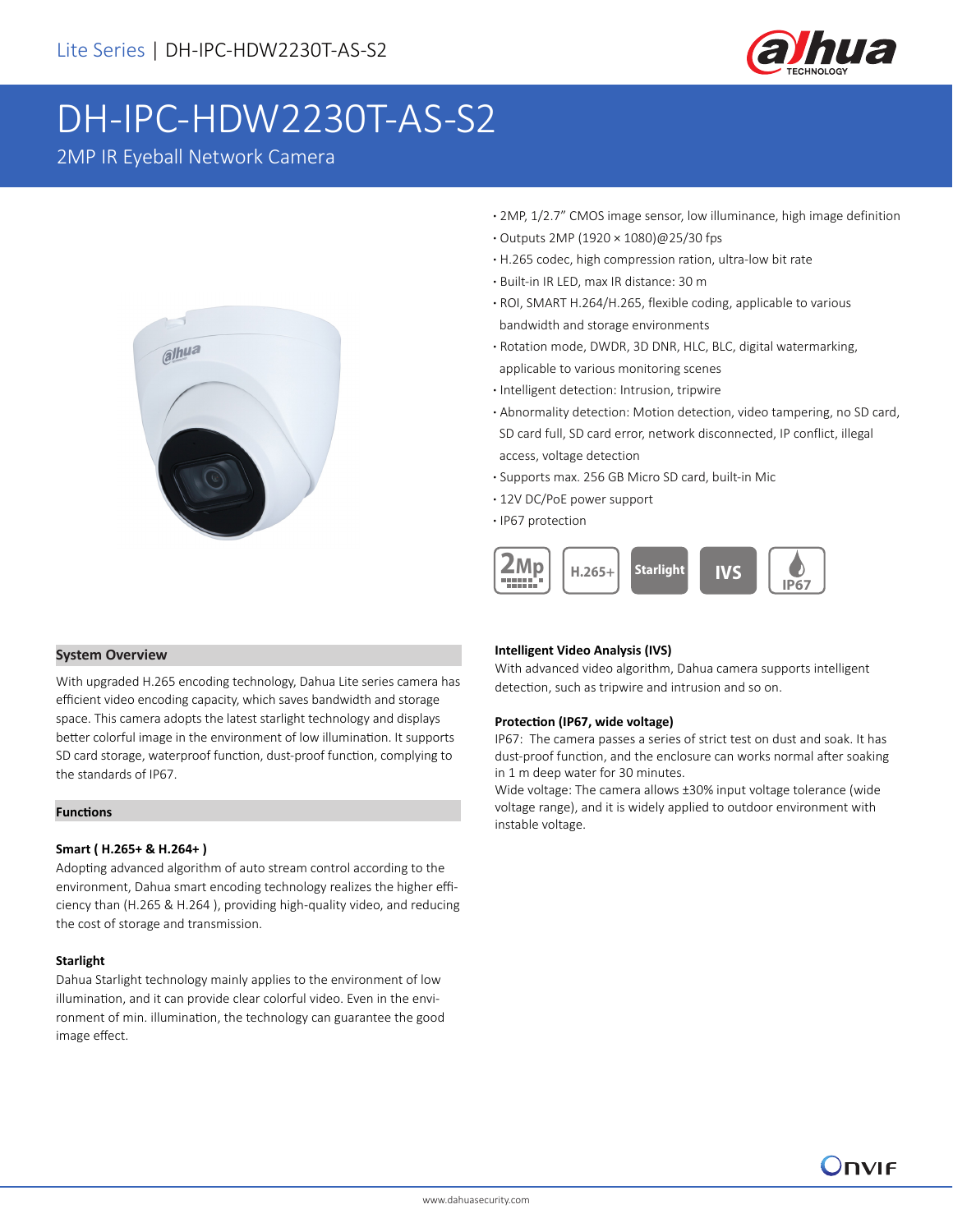

# DH-IPC-HDW2230T-AS-S2

2MP IR Eyeball Network Camera



- **·** 2MP, 1/2.7" CMOS image sensor, low illuminance, high image definition
- **·** Outputs 2MP (1920 × 1080)@25/30 fps
- **·** H.265 codec, high compression ration, ultra-low bit rate
- **·** Built-in IR LED, max IR distance: 30 m
- **·** ROI, SMART H.264/H.265, flexible coding, applicable to various bandwidth and storage environments
- **·** Rotation mode, DWDR, 3D DNR, HLC, BLC, digital watermarking, applicable to various monitoring scenes
- **·** Intelligent detection: Intrusion, tripwire
- **·** Abnormality detection: Motion detection, video tampering, no SD card, SD card full, SD card error, network disconnected, IP conflict, illegal access, voltage detection
- **·** Supports max. 256 GB Micro SD card, built-in Mic
- **·** 12V DC/PoE power support
- **·** IP67 protection



### **System Overview**

With upgraded H.265 encoding technology, Dahua Lite series camera has efficient video encoding capacity, which saves bandwidth and storage space. This camera adopts the latest starlight technology and displays better colorful image in the environment of low illumination. It supports SD card storage, waterproof function, dust-proof function, complying to the standards of IP67.

### **Functions**

### **Smart ( H.265+ & H.264+ )**

Adopting advanced algorithm of auto stream control according to the environment, Dahua smart encoding technology realizes the higher efficiency than (H.265 & H.264 ), providing high-quality video, and reducing the cost of storage and transmission.

#### **Starlight**

Dahua Starlight technology mainly applies to the environment of low illumination, and it can provide clear colorful video. Even in the environment of min. illumination, the technology can guarantee the good image effect.

### **Intelligent Video Analysis (IVS)**

With advanced video algorithm, Dahua camera supports intelligent detection, such as tripwire and intrusion and so on.

#### **Protection (IP67, wide voltage)**

IP67: The camera passes a series of strict test on dust and soak. It has dust-proof function, and the enclosure can works normal after soaking in 1 m deep water for 30 minutes.

Wide voltage: The camera allows ±30% input voltage tolerance (wide voltage range), and it is widely applied to outdoor environment with instable voltage.

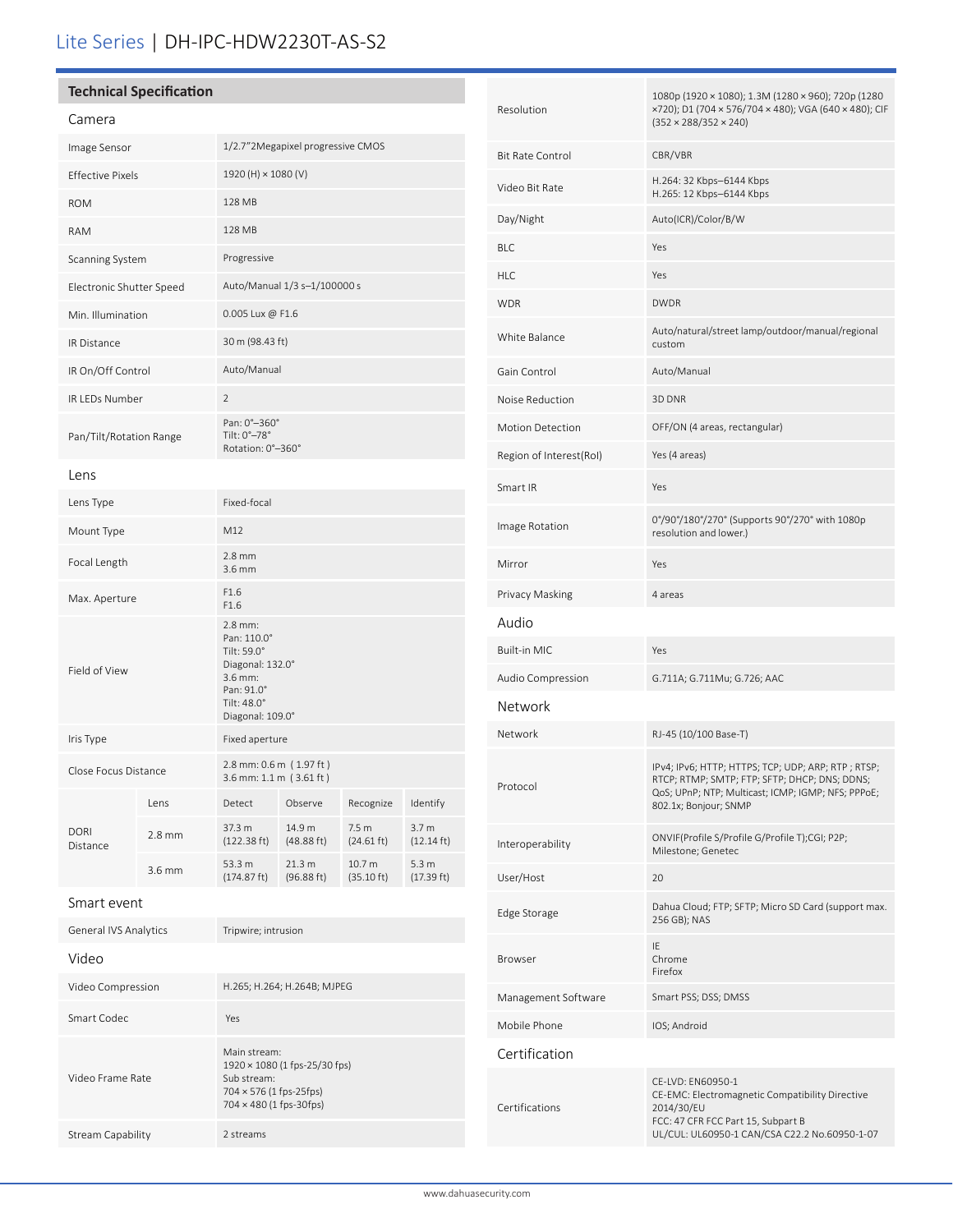## Lite Series | DH-IPC-HDW2230T-AS-S2

### **Technical Specification**

| Camera                   |                   |                                                                                                                       |                      |                                          |                                          |
|--------------------------|-------------------|-----------------------------------------------------------------------------------------------------------------------|----------------------|------------------------------------------|------------------------------------------|
| Image Sensor             |                   | 1/2.7"2Megapixel progressive CMOS                                                                                     |                      |                                          |                                          |
| <b>Effective Pixels</b>  |                   | 1920 (H) × 1080 (V)                                                                                                   |                      |                                          |                                          |
| <b>ROM</b>               |                   | 128 MB                                                                                                                |                      |                                          |                                          |
| <b>RAM</b>               |                   | 128 MB                                                                                                                |                      |                                          |                                          |
| Scanning System          |                   | Progressive                                                                                                           |                      |                                          |                                          |
| Electronic Shutter Speed |                   | Auto/Manual 1/3 s-1/100000 s                                                                                          |                      |                                          |                                          |
| Min. Illumination        |                   | 0.005 Lux @ F1.6                                                                                                      |                      |                                          |                                          |
| <b>IR Distance</b>       |                   | 30 m (98.43 ft)                                                                                                       |                      |                                          |                                          |
| IR On/Off Control        |                   | Auto/Manual                                                                                                           |                      |                                          |                                          |
| IR LEDs Number           |                   | $\overline{2}$                                                                                                        |                      |                                          |                                          |
| Pan/Tilt/Rotation Range  |                   | Pan: 0°-360°<br>Tilt: 0°-78°<br>Rotation: 0°-360°                                                                     |                      |                                          |                                          |
| Lens                     |                   |                                                                                                                       |                      |                                          |                                          |
| Lens Type                |                   | Fixed-focal                                                                                                           |                      |                                          |                                          |
| Mount Type               |                   | M12                                                                                                                   |                      |                                          |                                          |
| Focal Length             |                   | $2.8$ mm<br>3.6 mm                                                                                                    |                      |                                          |                                          |
| Max. Aperture            |                   | F1.6<br>F1.6                                                                                                          |                      |                                          |                                          |
| Field of View            |                   | 2.8 mm:<br>Pan: 110.0°<br>Tilt: 59.0°<br>Diagonal: 132.0°<br>3.6 mm:<br>Pan: 91.0°<br>Tilt: 48.0°<br>Diagonal: 109.0° |                      |                                          |                                          |
| Iris Type                |                   | Fixed aperture                                                                                                        |                      |                                          |                                          |
| Close Focus Distance     |                   | 2.8 mm: 0.6 m (1.97 ft)<br>3.6 mm: 1.1 m (3.61 ft)                                                                    |                      |                                          |                                          |
| <b>DORI</b><br>Distance  | Lens              | Detect                                                                                                                | Observe              | Recognize                                | Identify                                 |
|                          | $2.8$ mm          | 37.3 m<br>$(122.38 \text{ ft})$                                                                                       | 14.9 m<br>(48.88 ft) | 7.5 <sub>m</sub><br>$(24.61 \text{ ft})$ | 3.7 <sub>m</sub><br>$(12.14 \text{ ft})$ |
|                          | 3.6 <sub>mm</sub> | 53.3 m<br>(174.87 ft)                                                                                                 | 21.3 m<br>(96.88 ft) | 10.7 <sub>m</sub><br>(35.10 ft)          | 5.3 <sub>m</sub><br>(17.39 ft)           |

General IVS Analytics Tripwire; intrusion Video

| Video Compression | H.265; H.264; H.264B; MJPEG                                                                                                             |  |
|-------------------|-----------------------------------------------------------------------------------------------------------------------------------------|--|
| Smart Codec       | Yes                                                                                                                                     |  |
| Video Frame Rate  | Main stream:<br>$1920 \times 1080$ (1 fps-25/30 fps)<br>Sub stream:<br>$704 \times 576$ (1 fps-25fps)<br>$704 \times 480$ (1 fps-30fps) |  |
| Stream Capability | 2 streams                                                                                                                               |  |

| Resolution              | 1080p (1920 × 1080); 1.3M (1280 × 960); 720p (1280<br>×720); D1 (704 × 576/704 × 480); VGA (640 × 480); CIF<br>$(352 \times 288/352 \times 240)$                                   |  |  |
|-------------------------|------------------------------------------------------------------------------------------------------------------------------------------------------------------------------------|--|--|
| Bit Rate Control        | CBR/VBR                                                                                                                                                                            |  |  |
| Video Bit Rate          | H.264: 32 Kbps-6144 Kbps<br>H.265: 12 Kbps-6144 Kbps                                                                                                                               |  |  |
| Day/Night               | Auto(ICR)/Color/B/W                                                                                                                                                                |  |  |
| BLC                     | Yes                                                                                                                                                                                |  |  |
| HLC                     | Yes                                                                                                                                                                                |  |  |
| WDR                     | <b>DWDR</b>                                                                                                                                                                        |  |  |
| White Balance           | Auto/natural/street lamp/outdoor/manual/regional<br>custom                                                                                                                         |  |  |
| Gain Control            | Auto/Manual                                                                                                                                                                        |  |  |
| Noise Reduction         | 3D DNR                                                                                                                                                                             |  |  |
| <b>Motion Detection</b> | OFF/ON (4 areas, rectangular)                                                                                                                                                      |  |  |
| Region of Interest(RoI) | Yes (4 areas)                                                                                                                                                                      |  |  |
| Smart IR                | Yes                                                                                                                                                                                |  |  |
| Image Rotation          | 0°/90°/180°/270° (Supports 90°/270° with 1080p<br>resolution and lower.)                                                                                                           |  |  |
| Mirror                  | Yes                                                                                                                                                                                |  |  |
| Privacy Masking         | 4 areas                                                                                                                                                                            |  |  |
| Audio                   |                                                                                                                                                                                    |  |  |
| Built-in MIC            | Yes                                                                                                                                                                                |  |  |
| Audio Compression       | G.711A; G.711Mu; G.726; AAC                                                                                                                                                        |  |  |
| Network                 |                                                                                                                                                                                    |  |  |
| Network                 | RJ-45 (10/100 Base-T)                                                                                                                                                              |  |  |
| Protocol                | IPv4; IPv6; HTTP; HTTPS; TCP; UDP; ARP; RTP; RTSP;<br>RTCP; RTMP; SMTP; FTP; SFTP; DHCP; DNS; DDNS;<br>QoS; UPnP; NTP; Multicast; ICMP; IGMP; NFS; PPPoE;<br>802.1x; Bonjour; SNMP |  |  |
| Interoperability        | ONVIF(Profile S/Profile G/Profile T);CGI; P2P;<br>Milestone; Genetec                                                                                                               |  |  |
| User/Host               | 20                                                                                                                                                                                 |  |  |
| Edge Storage            | Dahua Cloud; FTP; SFTP; Micro SD Card (support max.<br>256 GB); NAS                                                                                                                |  |  |
| Browser                 | IE<br>Chrome<br>Firefox                                                                                                                                                            |  |  |
| Management Software     | Smart PSS; DSS; DMSS                                                                                                                                                               |  |  |
| Mobile Phone            | IOS; Android                                                                                                                                                                       |  |  |
| Certification           |                                                                                                                                                                                    |  |  |
| Certifications          | CE-LVD: EN60950-1<br>CE-EMC: Electromagnetic Compatibility Directive<br>2014/30/EU<br>FCC: 47 CFR FCC Part 15, Subpart B<br>UL/CUL: UL60950-1 CAN/CSA C22.2 No.60950-1-07          |  |  |